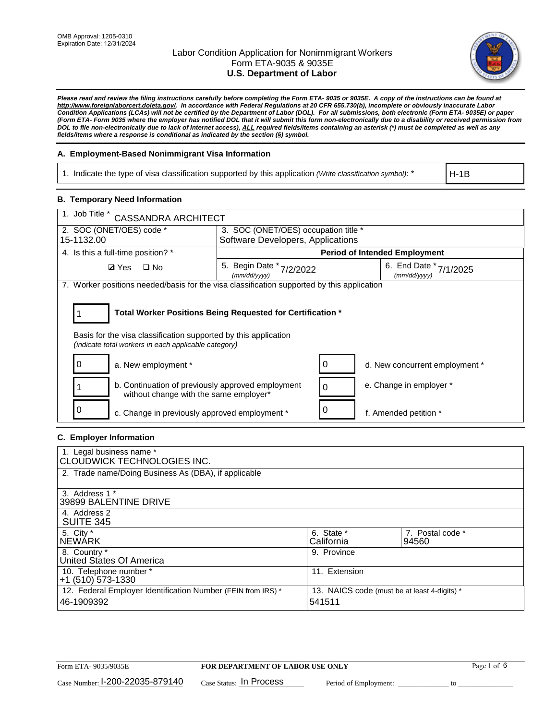

*Please read and review the filing instructions carefully before completing the Form ETA- 9035 or 9035E. A copy of the instructions can be found at [http://www.foreignlaborcert.doleta.gov/.](http://www.foreignlaborcert.doleta.gov/) In accordance with Federal Regulations at 20 CFR 655.730(b), incomplete or obviously inaccurate Labor Condition Applications (LCAs) will not be certified by the Department of Labor (DOL). For all submissions, both electronic (Form ETA- 9035E) or paper (Form ETA- Form 9035 where the employer has notified DOL that it will submit this form non-electronically due to a disability or received permission from DOL to file non-electronically due to lack of Internet access), ALL required fields/items containing an asterisk (\*) must be completed as well as any fields/items where a response is conditional as indicated by the section (§) symbol.* 

## **A. Employment-Based Nonimmigrant Visa Information**

1. Indicate the type of visa classification supported by this application *(Write classification symbol)*: \*

H-1B

## **B. Temporary Need Information**

| 1. Job Title *<br><b>CASSANDRA ARCHITECT</b>                                                                                                                                          |                                             |                                           |  |  |  |  |
|---------------------------------------------------------------------------------------------------------------------------------------------------------------------------------------|---------------------------------------------|-------------------------------------------|--|--|--|--|
| 2. SOC (ONET/OES) code *<br>3. SOC (ONET/OES) occupation title *                                                                                                                      |                                             |                                           |  |  |  |  |
| 15-1132.00                                                                                                                                                                            | Software Developers, Applications           |                                           |  |  |  |  |
| 4. Is this a full-time position? *                                                                                                                                                    |                                             | <b>Period of Intended Employment</b>      |  |  |  |  |
| $\square$ No<br><b>Ø</b> Yes                                                                                                                                                          | 5. Begin Date *<br>7/2/2022<br>(mm/dd/vvvv) | 6. End Date *<br>7/1/2025<br>(mm/dd/vvvv) |  |  |  |  |
| 7. Worker positions needed/basis for the visa classification supported by this application                                                                                            |                                             |                                           |  |  |  |  |
| Total Worker Positions Being Requested for Certification *<br>Basis for the visa classification supported by this application<br>(indicate total workers in each applicable category) |                                             |                                           |  |  |  |  |
| a. New employment *<br>O                                                                                                                                                              | 0                                           | d. New concurrent employment *            |  |  |  |  |
| b. Continuation of previously approved employment<br>without change with the same employer*                                                                                           | 0                                           | e. Change in employer *                   |  |  |  |  |
| c. Change in previously approved employment *                                                                                                                                         |                                             | f. Amended petition *                     |  |  |  |  |

## **C. Employer Information**

| 1. Legal business name *<br>CLOUDWICK TECHNOLOGIES INC.                    |                                                        |                           |
|----------------------------------------------------------------------------|--------------------------------------------------------|---------------------------|
| 2. Trade name/Doing Business As (DBA), if applicable                       |                                                        |                           |
| 3. Address 1 *<br>39899 BALENTINE DRIVE                                    |                                                        |                           |
| 4. Address 2<br><b>SUITE 345</b>                                           |                                                        |                           |
| 5. City *<br><b>NEWARK</b>                                                 | 6. State *<br>California                               | 7. Postal code *<br>94560 |
| 8. Country *<br>United States Of America                                   | 9. Province                                            |                           |
| 10. Telephone number *<br>$+1$ (510) 573-1330                              | 11. Extension                                          |                           |
| 12. Federal Employer Identification Number (FEIN from IRS) *<br>46-1909392 | 13. NAICS code (must be at least 4-digits) *<br>541511 |                           |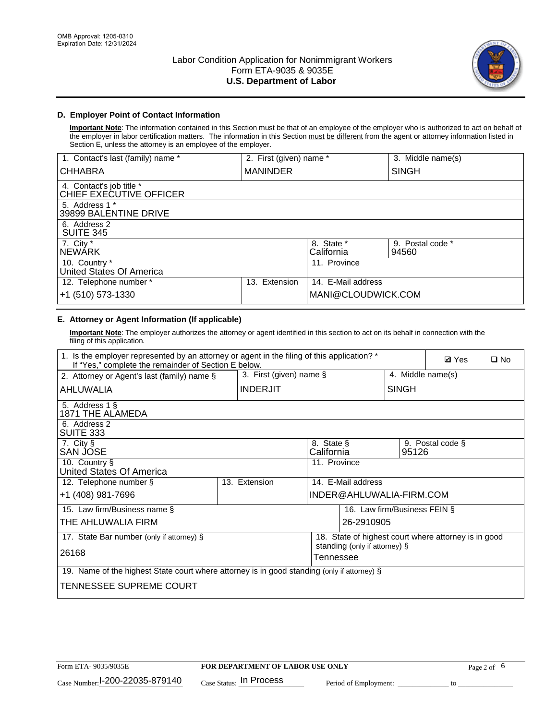

# **D. Employer Point of Contact Information**

**Important Note**: The information contained in this Section must be that of an employee of the employer who is authorized to act on behalf of the employer in labor certification matters. The information in this Section must be different from the agent or attorney information listed in Section E, unless the attorney is an employee of the employer.

| 1. Contact's last (family) name *                   | 2. First (given) name * |                          | 3. Middle name(s)         |
|-----------------------------------------------------|-------------------------|--------------------------|---------------------------|
| <b>CHHABRA</b>                                      | <b>MANINDER</b>         |                          | <b>SINGH</b>              |
| 4. Contact's job title *<br>CHIEF EXECUTIVE OFFICER |                         |                          |                           |
| 5. Address 1 *<br>39899 BALENTINE DRIVE             |                         |                          |                           |
| 6. Address 2<br><b>SUITE 345</b>                    |                         |                          |                           |
| 7. City *<br><b>NEWÁRK</b>                          |                         | 8. State *<br>California | 9. Postal code *<br>94560 |
| 10. Country *<br>United States Of America           |                         | 11. Province             |                           |
| 12. Telephone number *                              | Extension<br>13.        | 14. E-Mail address       |                           |
| +1 (510) 573-1330                                   |                         | MANI@CLOUDWICK.COM       |                           |

# **E. Attorney or Agent Information (If applicable)**

**Important Note**: The employer authorizes the attorney or agent identified in this section to act on its behalf in connection with the filing of this application.

| 1. Is the employer represented by an attorney or agent in the filing of this application? *<br>If "Yes," complete the remainder of Section E below. |  |                            |                                            |                          |                              | <b>Ø</b> Yes<br>$\square$ No                         |  |  |
|-----------------------------------------------------------------------------------------------------------------------------------------------------|--|----------------------------|--------------------------------------------|--------------------------|------------------------------|------------------------------------------------------|--|--|
| 2. Attorney or Agent's last (family) name §                                                                                                         |  | 3. First (given) name $\S$ |                                            |                          | 4. Middle name(s)            |                                                      |  |  |
| <b>INDERJIT</b><br>AHLUWALIA                                                                                                                        |  |                            |                                            |                          | <b>SINGH</b>                 |                                                      |  |  |
| 5. Address 1 §<br>1871 THE ALAMEDA                                                                                                                  |  |                            |                                            |                          |                              |                                                      |  |  |
| 6. Address 2<br>SUITE 333                                                                                                                           |  |                            |                                            |                          |                              |                                                      |  |  |
| 7. City §<br>8. State §<br>SAN JOSE<br>California                                                                                                   |  |                            |                                            |                          | 95126                        | 9. Postal code §                                     |  |  |
| 10. Country §<br>United States Of America                                                                                                           |  |                            | 11. Province                               |                          |                              |                                                      |  |  |
| 12. Telephone number §                                                                                                                              |  | 13. Extension              |                                            | 14. E-Mail address       |                              |                                                      |  |  |
| +1 (408) 981-7696                                                                                                                                   |  |                            |                                            | INDER@AHLUWALIA-FIRM.COM |                              |                                                      |  |  |
| 15. Law firm/Business name §                                                                                                                        |  |                            |                                            |                          | 16. Law firm/Business FEIN § |                                                      |  |  |
| THE AHLUWALIA FIRM                                                                                                                                  |  |                            |                                            | 26-2910905               |                              |                                                      |  |  |
| 17. State Bar number (only if attorney) §                                                                                                           |  |                            |                                            |                          |                              | 18. State of highest court where attorney is in good |  |  |
| 26168                                                                                                                                               |  |                            | standing (only if attorney) §<br>Tennessee |                          |                              |                                                      |  |  |
| 19. Name of the highest State court where attorney is in good standing (only if attorney) §                                                         |  |                            |                                            |                          |                              |                                                      |  |  |
| TENNESSEE SUPREME COURT                                                                                                                             |  |                            |                                            |                          |                              |                                                      |  |  |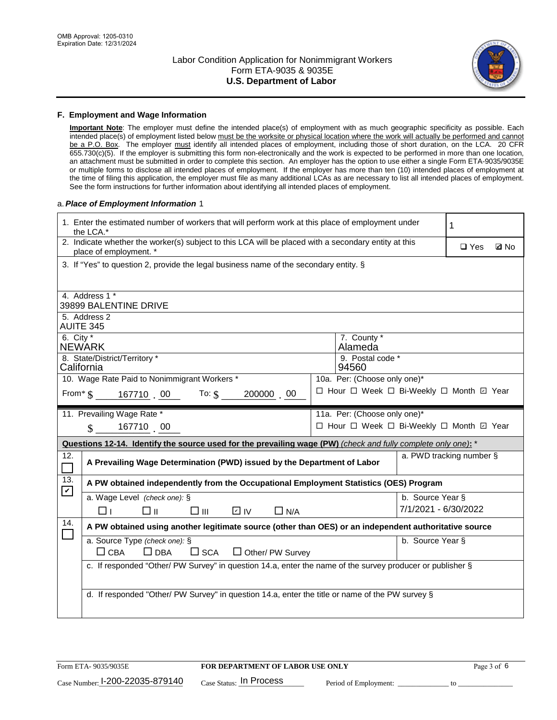

#### **F. Employment and Wage Information**

**Important Note**: The employer must define the intended place(s) of employment with as much geographic specificity as possible. Each intended place(s) of employment listed below must be the worksite or physical location where the work will actually be performed and cannot be a P.O. Box. The employer must identify all intended places of employment, including those of short duration, on the LCA. 20 CFR 655.730(c)(5). If the employer is submitting this form non-electronically and the work is expected to be performed in more than one location, an attachment must be submitted in order to complete this section. An employer has the option to use either a single Form ETA-9035/9035E or multiple forms to disclose all intended places of employment. If the employer has more than ten (10) intended places of employment at the time of filing this application, the employer must file as many additional LCAs as are necessary to list all intended places of employment. See the form instructions for further information about identifying all intended places of employment.

#### a.*Place of Employment Information* 1

|                                 | 1. Enter the estimated number of workers that will perform work at this place of employment under<br>1<br>the LCA.*            |  |                                          |                      |                          |  |  |  |
|---------------------------------|--------------------------------------------------------------------------------------------------------------------------------|--|------------------------------------------|----------------------|--------------------------|--|--|--|
|                                 | 2. Indicate whether the worker(s) subject to this LCA will be placed with a secondary entity at this<br>place of employment. * |  | $\square$ Yes                            | <b>Z</b> No          |                          |  |  |  |
|                                 | 3. If "Yes" to question 2, provide the legal business name of the secondary entity. §                                          |  |                                          |                      |                          |  |  |  |
|                                 | 4. Address 1 *                                                                                                                 |  |                                          |                      |                          |  |  |  |
|                                 | 39899 BALENTINE DRIVE                                                                                                          |  |                                          |                      |                          |  |  |  |
|                                 | 5. Address 2<br><b>AUITE 345</b>                                                                                               |  |                                          |                      |                          |  |  |  |
| 6. City $*$                     | <b>NEWARK</b>                                                                                                                  |  | 7. County *<br>Alameda                   |                      |                          |  |  |  |
|                                 | 8. State/District/Territory *<br>California                                                                                    |  | 9. Postal code *<br>94560                |                      |                          |  |  |  |
|                                 | 10. Wage Rate Paid to Nonimmigrant Workers *                                                                                   |  | 10a. Per: (Choose only one)*             |                      |                          |  |  |  |
|                                 | □ Hour □ Week □ Bi-Weekly □ Month □ Year<br>From* $\$\,$ 167710 00 To: $\$\,$<br>200000 00                                     |  |                                          |                      |                          |  |  |  |
|                                 | 11. Prevailing Wage Rate *                                                                                                     |  | 11a. Per: (Choose only one)*             |                      |                          |  |  |  |
|                                 | 167710 00<br>$\mathbb{S}$                                                                                                      |  | □ Hour □ Week □ Bi-Weekly □ Month 回 Year |                      |                          |  |  |  |
|                                 | Questions 12-14. Identify the source used for the prevailing wage (PW) (check and fully complete only one): *                  |  |                                          |                      |                          |  |  |  |
| 12.<br>$\overline{\phantom{0}}$ | A Prevailing Wage Determination (PWD) issued by the Department of Labor                                                        |  |                                          |                      | a. PWD tracking number § |  |  |  |
| 13.<br>$\blacktriangledown$     | A PW obtained independently from the Occupational Employment Statistics (OES) Program                                          |  |                                          |                      |                          |  |  |  |
|                                 | a. Wage Level (check one): §                                                                                                   |  |                                          | b. Source Year §     |                          |  |  |  |
|                                 | D IV<br>□⊥<br>□⊪<br>□⊪<br>$\Box$ N/A                                                                                           |  |                                          | 7/1/2021 - 6/30/2022 |                          |  |  |  |
| 14.<br>$\Box$                   | A PW obtained using another legitimate source (other than OES) or an independent authoritative source                          |  |                                          |                      |                          |  |  |  |
|                                 | a. Source Type (check one): §<br>b. Source Year §<br>$\Box$ CBA<br>$\Box$ DBA<br>$\square$ SCA<br>$\Box$ Other/ PW Survey      |  |                                          |                      |                          |  |  |  |
|                                 | c. If responded "Other/ PW Survey" in question 14.a, enter the name of the survey producer or publisher §                      |  |                                          |                      |                          |  |  |  |
|                                 |                                                                                                                                |  |                                          |                      |                          |  |  |  |
|                                 | d. If responded "Other/ PW Survey" in question 14.a, enter the title or name of the PW survey §                                |  |                                          |                      |                          |  |  |  |
|                                 |                                                                                                                                |  |                                          |                      |                          |  |  |  |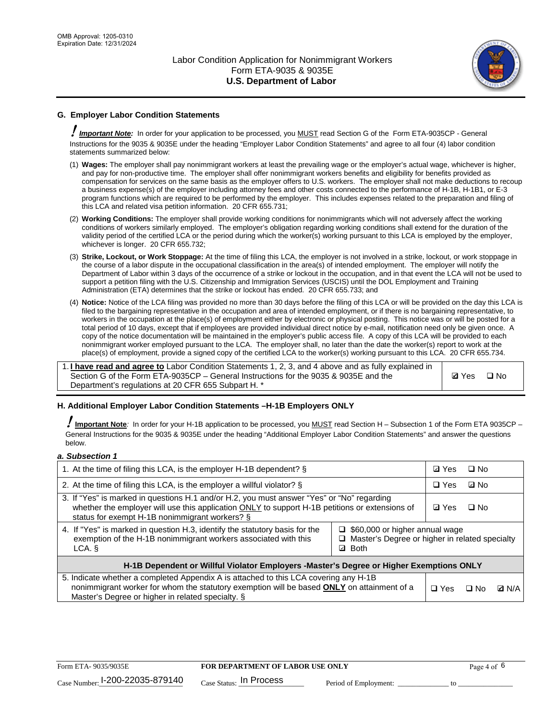

# **G. Employer Labor Condition Statements**

! *Important Note:* In order for your application to be processed, you MUST read Section G of the Form ETA-9035CP - General Instructions for the 9035 & 9035E under the heading "Employer Labor Condition Statements" and agree to all four (4) labor condition statements summarized below:

- (1) **Wages:** The employer shall pay nonimmigrant workers at least the prevailing wage or the employer's actual wage, whichever is higher, and pay for non-productive time. The employer shall offer nonimmigrant workers benefits and eligibility for benefits provided as compensation for services on the same basis as the employer offers to U.S. workers. The employer shall not make deductions to recoup a business expense(s) of the employer including attorney fees and other costs connected to the performance of H-1B, H-1B1, or E-3 program functions which are required to be performed by the employer. This includes expenses related to the preparation and filing of this LCA and related visa petition information. 20 CFR 655.731;
- (2) **Working Conditions:** The employer shall provide working conditions for nonimmigrants which will not adversely affect the working conditions of workers similarly employed. The employer's obligation regarding working conditions shall extend for the duration of the validity period of the certified LCA or the period during which the worker(s) working pursuant to this LCA is employed by the employer, whichever is longer. 20 CFR 655.732;
- (3) **Strike, Lockout, or Work Stoppage:** At the time of filing this LCA, the employer is not involved in a strike, lockout, or work stoppage in the course of a labor dispute in the occupational classification in the area(s) of intended employment. The employer will notify the Department of Labor within 3 days of the occurrence of a strike or lockout in the occupation, and in that event the LCA will not be used to support a petition filing with the U.S. Citizenship and Immigration Services (USCIS) until the DOL Employment and Training Administration (ETA) determines that the strike or lockout has ended. 20 CFR 655.733; and
- (4) **Notice:** Notice of the LCA filing was provided no more than 30 days before the filing of this LCA or will be provided on the day this LCA is filed to the bargaining representative in the occupation and area of intended employment, or if there is no bargaining representative, to workers in the occupation at the place(s) of employment either by electronic or physical posting. This notice was or will be posted for a total period of 10 days, except that if employees are provided individual direct notice by e-mail, notification need only be given once. A copy of the notice documentation will be maintained in the employer's public access file. A copy of this LCA will be provided to each nonimmigrant worker employed pursuant to the LCA. The employer shall, no later than the date the worker(s) report to work at the place(s) of employment, provide a signed copy of the certified LCA to the worker(s) working pursuant to this LCA. 20 CFR 655.734.

1. **I have read and agree to** Labor Condition Statements 1, 2, 3, and 4 above and as fully explained in Section G of the Form ETA-9035CP – General Instructions for the 9035 & 9035E and the Department's regulations at 20 CFR 655 Subpart H. \*

**Ø**Yes ロNo

## **H. Additional Employer Labor Condition Statements –H-1B Employers ONLY**

!**Important Note***:* In order for your H-1B application to be processed, you MUST read Section H – Subsection 1 of the Form ETA 9035CP – General Instructions for the 9035 & 9035E under the heading "Additional Employer Labor Condition Statements" and answer the questions below.

#### *a. Subsection 1*

| 1. At the time of filing this LCA, is the employer H-1B dependent? §                                                                                                                                                                           | ⊡ Yes                                                                                     | $\square$ No |           |              |
|------------------------------------------------------------------------------------------------------------------------------------------------------------------------------------------------------------------------------------------------|-------------------------------------------------------------------------------------------|--------------|-----------|--------------|
| 2. At the time of filing this LCA, is the employer a willful violator? $\S$                                                                                                                                                                    |                                                                                           |              | ⊡ No      |              |
| 3. If "Yes" is marked in questions H.1 and/or H.2, you must answer "Yes" or "No" regarding<br>whether the employer will use this application ONLY to support H-1B petitions or extensions of<br>status for exempt H-1B nonimmigrant workers? § |                                                                                           |              | $\Box$ No |              |
| 4. If "Yes" is marked in question H.3, identify the statutory basis for the<br>exemption of the H-1B nonimmigrant workers associated with this<br>LCA. §                                                                                       | $\Box$ \$60,000 or higher annual wage<br>□ Master's Degree or higher in related specialty |              |           |              |
| H-1B Dependent or Willful Violator Employers -Master's Degree or Higher Exemptions ONLY                                                                                                                                                        |                                                                                           |              |           |              |
| 5. Indicate whether a completed Appendix A is attached to this LCA covering any H-1B<br>nonimmigrant worker for whom the statutory exemption will be based <b>ONLY</b> on attainment of a<br>Master's Degree or higher in related specialty. § |                                                                                           |              | ⊟ No      | <b>Q</b> N/A |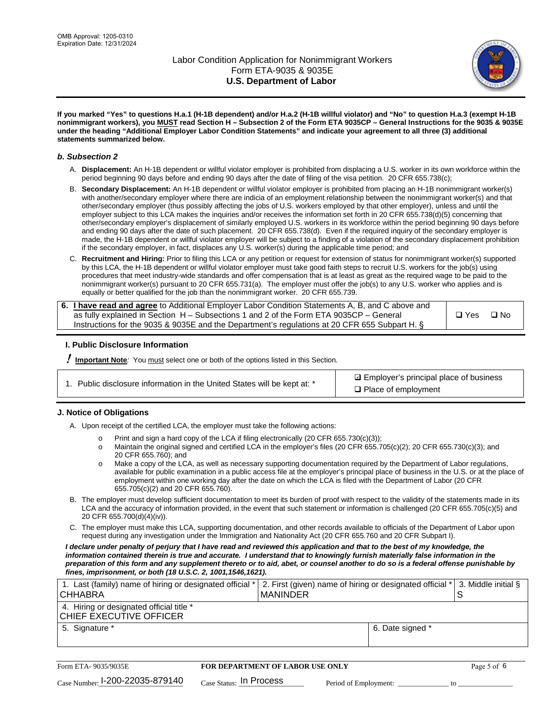

**If you marked "Yes" to questions H.a.1 (H-1B dependent) and/or H.a.2 (H-1B willful violator) and "No" to question H.a.3 (exempt H-1B nonimmigrant workers), you MUST read Section H – Subsection 2 of the Form ETA 9035CP – General Instructions for the 9035 & 9035E under the heading "Additional Employer Labor Condition Statements" and indicate your agreement to all three (3) additional statements summarized below.**

#### *b. Subsection 2*

- A. **Displacement:** An H-1B dependent or willful violator employer is prohibited from displacing a U.S. worker in its own workforce within the period beginning 90 days before and ending 90 days after the date of filing of the visa petition. 20 CFR 655.738(c);
- B. **Secondary Displacement:** An H-1B dependent or willful violator employer is prohibited from placing an H-1B nonimmigrant worker(s) with another/secondary employer where there are indicia of an employment relationship between the nonimmigrant worker(s) and that other/secondary employer (thus possibly affecting the jobs of U.S. workers employed by that other employer), unless and until the employer subject to this LCA makes the inquiries and/or receives the information set forth in 20 CFR 655.738(d)(5) concerning that other/secondary employer's displacement of similarly employed U.S. workers in its workforce within the period beginning 90 days before and ending 90 days after the date of such placement. 20 CFR 655.738(d). Even if the required inquiry of the secondary employer is made, the H-1B dependent or willful violator employer will be subject to a finding of a violation of the secondary displacement prohibition if the secondary employer, in fact, displaces any U.S. worker(s) during the applicable time period; and
- C. **Recruitment and Hiring:** Prior to filing this LCA or any petition or request for extension of status for nonimmigrant worker(s) supported by this LCA, the H-1B dependent or willful violator employer must take good faith steps to recruit U.S. workers for the job(s) using procedures that meet industry-wide standards and offer compensation that is at least as great as the required wage to be paid to the nonimmigrant worker(s) pursuant to 20 CFR 655.731(a). The employer must offer the job(s) to any U.S. worker who applies and is equally or better qualified for the job than the nonimmigrant worker. 20 CFR 655.739.

| 6. I have read and agree to Additional Employer Labor Condition Statements A, B, and C above and |       |           |
|--------------------------------------------------------------------------------------------------|-------|-----------|
| as fully explained in Section H – Subsections 1 and 2 of the Form ETA 9035CP – General           | □ Yes | $\Box$ No |
| Instructions for the 9035 & 9035E and the Department's regulations at 20 CFR 655 Subpart H. §    |       |           |

## **I. Public Disclosure Information**

! **Important Note***:* You must select one or both of the options listed in this Section.

| 1. Public disclosure information in the United States will be kept at: * |  |  |  |  |  |  |
|--------------------------------------------------------------------------|--|--|--|--|--|--|
|--------------------------------------------------------------------------|--|--|--|--|--|--|

**sqrt** Employer's principal place of business □ Place of employment

## **J. Notice of Obligations**

A. Upon receipt of the certified LCA, the employer must take the following actions:

- o Print and sign a hard copy of the LCA if filing electronically (20 CFR 655.730(c)(3));<br>
Maintain the original signed and certified LCA in the employer's files (20 CFR 655.7
- Maintain the original signed and certified LCA in the employer's files (20 CFR 655.705(c)(2); 20 CFR 655.730(c)(3); and 20 CFR 655.760); and
- o Make a copy of the LCA, as well as necessary supporting documentation required by the Department of Labor regulations, available for public examination in a public access file at the employer's principal place of business in the U.S. or at the place of employment within one working day after the date on which the LCA is filed with the Department of Labor (20 CFR 655.705(c)(2) and 20 CFR 655.760).
- B. The employer must develop sufficient documentation to meet its burden of proof with respect to the validity of the statements made in its LCA and the accuracy of information provided, in the event that such statement or information is challenged (20 CFR 655.705(c)(5) and 20 CFR 655.700(d)(4)(iv)).
- C. The employer must make this LCA, supporting documentation, and other records available to officials of the Department of Labor upon request during any investigation under the Immigration and Nationality Act (20 CFR 655.760 and 20 CFR Subpart I).

*I declare under penalty of perjury that I have read and reviewed this application and that to the best of my knowledge, the*  information contained therein is true and accurate. I understand that to knowingly furnish materially false information in the *preparation of this form and any supplement thereto or to aid, abet, or counsel another to do so is a federal offense punishable by fines, imprisonment, or both (18 U.S.C. 2, 1001,1546,1621).*

| 1. Last (family) name of hiring or designated official * 2. First (given) name of hiring or designated official * 3. Middle initial §<br><b>CHHABRA</b> | I MANINDER |                  |  |
|---------------------------------------------------------------------------------------------------------------------------------------------------------|------------|------------------|--|
| 4. Hiring or designated official title *<br>CHIEF EXECUTIVE OFFICER                                                                                     |            |                  |  |
| 5. Signature *                                                                                                                                          |            | 6. Date signed * |  |